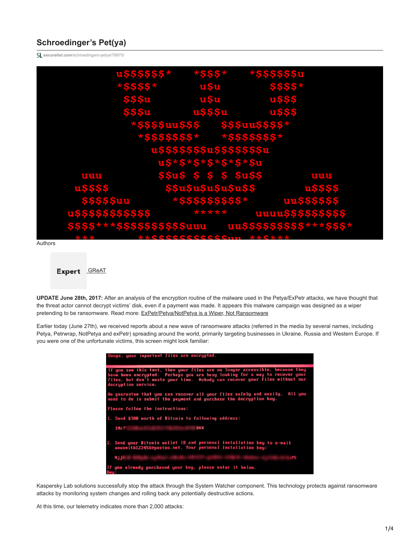# **Schroedinger's Pet(ya)**

**securelist.com**[/schroedingers-petya/78870/](https://securelist.com/schroedingers-petya/78870/)



Expert [GReAT](https://securelist.com/author/great/)

**UPDATE June 28th, 2017:** After an analysis of the encryption routine of the malware used in the Petya/ExPetr attacks, we have thought that the threat actor cannot decrypt victims' disk, even if a payment was made. It appears this malware campaign was designed as a wiper pretending to be ransomware. Read more: [ExPetr/Petya/NotPetya is a Wiper, Not Ransomware](https://securelist.com/expetrpetyanotpetya-is-a-wiper-not-ransomware/78902/)

Earlier today (June 27th), we received reports about a new wave of ransomware attacks (referred in the media by several names, including Petya, Petrwrap, NotPetya and exPetr) spreading around the world, primarily targeting businesses in Ukraine, Russia and Western Europe. If you were one of the unfortunate victims, this screen might look familiar:

| Doops, your important files are encrypted.                                                                                                                                                                                                                        |  |  |
|-------------------------------------------------------------------------------------------------------------------------------------------------------------------------------------------------------------------------------------------------------------------|--|--|
| If you see this text, then your files are no longer accessible, because they<br>have been encrypted. Perhaps you are busy looking for a way to recover your<br>files, but don't waste your time. Nobody can recover your files without our<br>decruption service. |  |  |
| $All$ you<br>He guarantee that you can recover all your files safely and easily.<br>need to do is submit the payment and purchase the decryption key.                                                                                                             |  |  |
| Please follow the instructions:                                                                                                                                                                                                                                   |  |  |
| 1. Send \$300 worth of Bitcoin to following address:                                                                                                                                                                                                              |  |  |
|                                                                                                                                                                                                                                                                   |  |  |
| 2. Send your Bitcoin wallet ID and personal installation key to e-mail<br>uowsmith123456@posteo.net. Your personal installation key:                                                                                                                              |  |  |
| NjjH<br><b>P5</b>                                                                                                                                                                                                                                                 |  |  |
| If you already purchased your key, please enter it below.<br>Keu:                                                                                                                                                                                                 |  |  |

Kaspersky Lab solutions successfully stop the attack through the System Watcher component. This technology protects against ransomware attacks by monitoring system changes and rolling back any potentially destructive actions.

At this time, our telemetry indicates more than 2,000 attacks: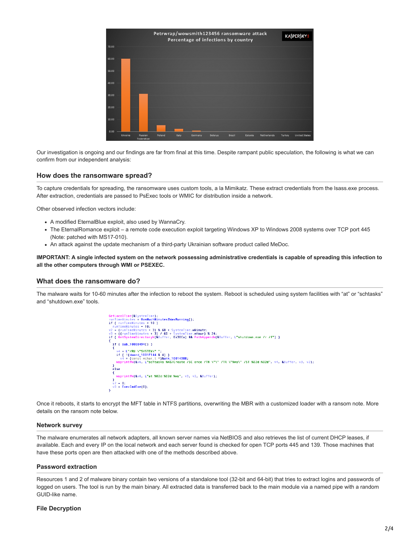

Our investigation is ongoing and our findings are far from final at this time. Despite rampant public speculation, the following is what we can confirm from our independent analysis:

# **How does the ransomware spread?**

To capture credentials for spreading, the ransomware uses custom tools, a la Mimikatz. These extract credentials from the lsass.exe process. After extraction, credentials are passed to PsExec tools or WMIC for distribution inside a network.

Other observed infection vectors include:

- A modified EternalBlue exploit, also used by WannaCry.
- The EternalRomance exploit a remote code execution exploit targeting Windows XP to Windows 2008 systems over TCP port 445 (Note: patched with MS17-010).
- An attack against the update mechanism of a third-party Ukrainian software product called MeDoc.

**IMPORTANT: A single infected system on the network possessing administrative credentials is capable of spreading this infection to all the other computers through WMI or PSEXEC.**

# **What does the ransomware do?**

The malware waits for 10-60 minutes after the infection to reboot the system. Reboot is scheduled using system facilities with "at" or "schtasks" and "shutdown.exe" tools.



Once it reboots, it starts to encrypt the MFT table in NTFS partitions, overwriting the MBR with a customized loader with a ransom note. More details on the ransom note below.

# **Network survey**

The malware enumerates all network adapters, all known server names via NetBIOS and also retrieves the list of current DHCP leases, if available. Each and every IP on the local network and each server found is checked for open TCP ports 445 and 139. Those machines that have these ports open are then attacked with one of the methods described above.

#### **Password extraction**

Resources 1 and 2 of malware binary contain two versions of a standalone tool (32-bit and 64-bit) that tries to extract logins and passwords of logged on users. The tool is run by the main binary. All extracted data is transferred back to the main module via a named pipe with a random GUID-like name.

# **File Decryption**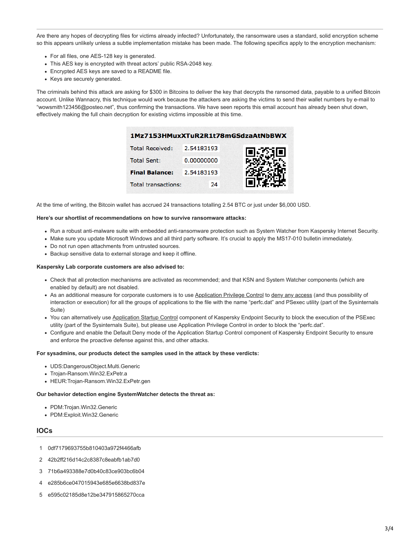Are there any hopes of decrypting files for victims already infected? Unfortunately, the ransomware uses a standard, solid encryption scheme so this appears unlikely unless a subtle implementation mistake has been made. The following specifics apply to the encryption mechanism:

- For all files, one AES-128 key is generated.
- This AES key is encrypted with threat actors' public RSA-2048 key.
- Encrypted AES keys are saved to a README file.
- Keys are securely generated.

The criminals behind this attack are asking for \$300 in Bitcoins to deliver the key that decrypts the ransomed data, payable to a unified Bitcoin account. Unlike Wannacry, this technique would work because the attackers are asking the victims to send their wallet numbers by e-mail to "wowsmith123456@posteo.net", thus confirming the transactions. We have seen reports this email account has already been shut down, effectively making the full chain decryption for existing victims impossible at this time.

|                            | 1Mz7153HMuxXTuR2R1t78mGSdzaAtNbBWX |  |
|----------------------------|------------------------------------|--|
| <b>Total Received:</b>     | 2.54183193                         |  |
| <b>Total Sent:</b>         | 0.00000000                         |  |
| <b>Final Balance:</b>      | 2.54183193                         |  |
| <b>Total transactions:</b> | 24                                 |  |
|                            |                                    |  |

At the time of writing, the Bitcoin wallet has accrued 24 transactions totalling 2.54 BTC or just under \$6,000 USD.

#### **Here's our shortlist of recommendations on how to survive ransomware attacks:**

- Run a robust anti-malware suite with embedded anti-ransomware protection such as System Watcher from Kaspersky Internet Security.
- Make sure you update Microsoft Windows and all third party software. It's crucial to apply the MS17-010 bulletin immediately.
- Do not run open attachments from untrusted sources.
- Backup sensitive data to external storage and keep it offline.

#### **Kaspersky Lab corporate customers are also advised to:**

- Check that all protection mechanisms are activated as recommended; and that KSN and System Watcher components (which are enabled by default) are not disabled.
- As an additional measure for corporate customers is to use [Application Privilege Control](https://help.kaspersky.com/KESWin/10SP2/en-US/39265.htm) to [deny any access](http://support.kaspersky.com/10905#block1) (and thus possibility of interaction or execution) for all the groups of applications to the file with the name "perfc.dat" and PSexec utility (part of the Sysinternals Suite)
- You can alternatively use [Application Startup Control](https://help.kaspersky.com/KESWin/10SP2/en-US/129102.htm) component of Kaspersky Endpoint Security to block the execution of the PSExec utility (part of the Sysinternals Suite), but please use Application Privilege Control in order to block the "perfc.dat".
- Configure and enable the Default Deny mode of the Application Startup Control component of Kaspersky Endpoint Security to ensure and enforce the proactive defense against this, and other attacks.

#### **For sysadmins, our products detect the samples used in the attack by these verdicts:**

- UDS:DangerousObject.Multi.Generic
- Trojan-Ransom.Win32.ExPetr.a
- HEUR:Trojan-Ransom.Win32.ExPetr.gen

#### **Our behavior detection engine SystemWatcher detects the threat as:**

- PDM:Trojan.Win32.Generic
- PDM:Exploit.Win32.Generic

### **IOCs**

- 1 0df7179693755b810403a972f4466afb
- 2 42b2ff216d14c2c8387c8eabfb1ab7d0
- 3 71b6a493388e7d0b40c83ce903bc6b04
- 4 e285b6ce047015943e685e6638bd837e
- 5 e595c02185d8e12be347915865270cca